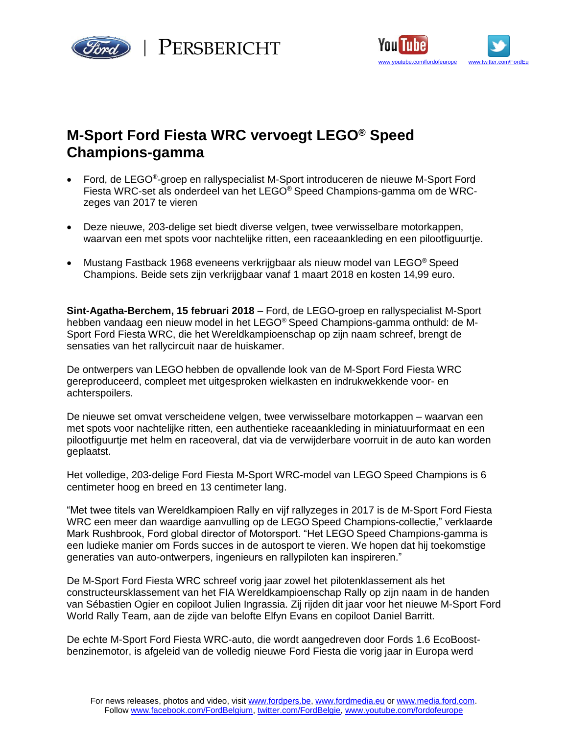





# **M-Sport Ford Fiesta WRC vervoegt LEGO® Speed Champions-gamma**

- Ford, de LEGO®-groep en rallyspecialist M-Sport introduceren de nieuwe M-Sport Ford Fiesta WRC-set als onderdeel van het LEGO® Speed Champions-gamma om de WRCzeges van 2017 te vieren
- Deze nieuwe, 203-delige set biedt diverse velgen, twee verwisselbare motorkappen, waarvan een met spots voor nachtelijke ritten, een raceaankleding en een pilootfiguurtje.
- Mustang Fastback 1968 eveneens verkrijgbaar als nieuw model van LEGO® Speed Champions. Beide sets zijn verkrijgbaar vanaf 1 maart 2018 en kosten 14,99 euro.

**Sint-Agatha-Berchem, 15 februari 2018** – Ford, de LEGO-groep en rallyspecialist M-Sport hebben vandaag een nieuw model in het LEGO® Speed Champions-gamma onthuld: de M-Sport Ford Fiesta WRC, die het Wereldkampioenschap op zijn naam schreef, brengt de sensaties van het rallycircuit naar de huiskamer.

De ontwerpers van LEGO hebben de opvallende look van de M-Sport Ford Fiesta WRC gereproduceerd, compleet met uitgesproken wielkasten en indrukwekkende voor- en achterspoilers.

De nieuwe set omvat verscheidene velgen, twee verwisselbare motorkappen – waarvan een met spots voor nachtelijke ritten, een authentieke raceaankleding in miniatuurformaat en een pilootfiguurtje met helm en raceoveral, dat via de verwijderbare voorruit in de auto kan worden geplaatst.

Het volledige, 203-delige Ford Fiesta M-Sport WRC-model van LEGO Speed Champions is 6 centimeter hoog en breed en 13 centimeter lang.

"Met twee titels van Wereldkampioen Rally en vijf rallyzeges in 2017 is de M-Sport Ford Fiesta WRC een meer dan waardige aanvulling op de LEGO Speed Champions-collectie," verklaarde Mark Rushbrook, Ford global director of Motorsport. "Het LEGO Speed Champions-gamma is een ludieke manier om Fords succes in de autosport te vieren. We hopen dat hij toekomstige generaties van auto-ontwerpers, ingenieurs en rallypiloten kan inspireren."

De M-Sport Ford Fiesta WRC schreef vorig jaar zowel het pilotenklassement als het constructeursklassement van het FIA Wereldkampioenschap Rally op zijn naam in de handen van Sébastien Ogier en copiloot Julien Ingrassia. Zij rijden dit jaar voor het nieuwe M-Sport Ford World Rally Team, aan de zijde van belofte Elfyn Evans en copiloot Daniel Barritt.

De echte M-Sport Ford Fiesta WRC-auto, die wordt aangedreven door Fords 1.6 EcoBoostbenzinemotor, is afgeleid van de volledig nieuwe Ford Fiesta die vorig jaar in Europa werd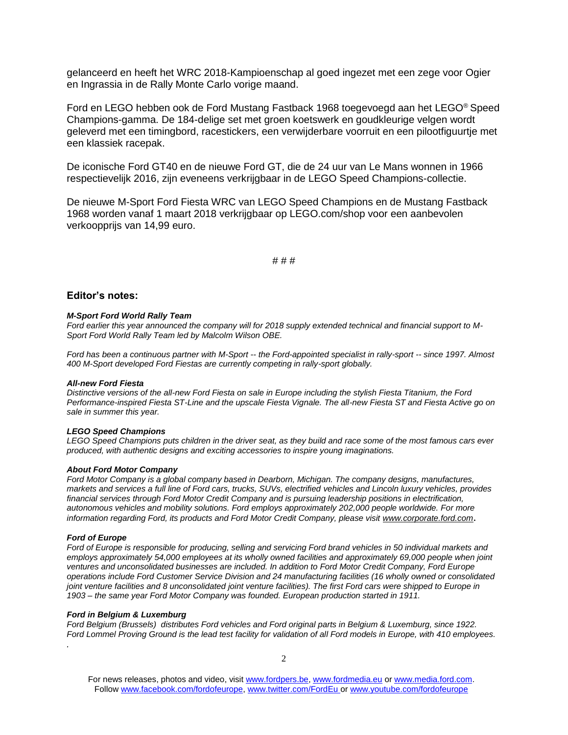gelanceerd en heeft het WRC 2018-Kampioenschap al goed ingezet met een zege voor Ogier en Ingrassia in de Rally Monte Carlo vorige maand.

Ford en LEGO hebben ook de Ford Mustang Fastback 1968 toegevoegd aan het LEGO® Speed Champions-gamma. De 184-delige set met groen koetswerk en goudkleurige velgen wordt geleverd met een timingbord, racestickers, een verwijderbare voorruit en een pilootfiguurtje met een klassiek racepak.

De iconische Ford GT40 en de nieuwe Ford GT, die de 24 uur van Le Mans wonnen in 1966 respectievelijk 2016, zijn eveneens verkrijgbaar in de LEGO Speed Champions-collectie.

De nieuwe M-Sport Ford Fiesta WRC van LEGO Speed Champions en de Mustang Fastback 1968 worden vanaf 1 maart 2018 verkrijgbaar op LEGO.com/shop voor een aanbevolen verkoopprijs van 14,99 euro.

# # #

## **Editor's notes:**

#### *M-Sport Ford World Rally Team*

*Ford earlier this year announced the company will for 2018 supply extended technical and financial support to M-Sport Ford World Rally Team led by Malcolm Wilson OBE.*

*Ford has been a continuous partner with M-Sport -- the Ford-appointed specialist in rally-sport -- since 1997. Almost 400 M-Sport developed Ford Fiestas are currently competing in rally-sport globally.*

#### *All-new Ford Fiesta*

*Distinctive versions of the all-new Ford Fiesta on sale in Europe including the stylish Fiesta Titanium, the Ford Performance-inspired Fiesta ST-Line and the upscale Fiesta Vignale. The all-new Fiesta ST and Fiesta Active go on sale in summer this year.*

#### *LEGO Speed Champions*

*LEGO Speed Champions puts children in the driver seat, as they build and race some of the most famous cars ever produced, with authentic designs and exciting accessories to inspire young imaginations.*

## *About Ford Motor Company*

*Ford Motor Company is a global company based in Dearborn, Michigan. The company designs, manufactures, markets and services a full line of Ford cars, trucks, SUVs, electrified vehicles and Lincoln luxury vehicles, provides financial services through Ford Motor Credit Company and is pursuing leadership positions in electrification, autonomous vehicles and mobility solutions. Ford employs approximately 202,000 people worldwide. For more information regarding Ford, its products and Ford Motor Credit Company, please visit [www.corporate.ford.com](http://www.corporate.ford.com/).*

### *Ford of Europe*

*.*

*Ford of Europe is responsible for producing, selling and servicing Ford brand vehicles in 50 individual markets and employs approximately 54,000 employees at its wholly owned facilities and approximately 69,000 people when joint ventures and unconsolidated businesses are included. In addition to Ford Motor Credit Company, Ford Europe operations include Ford Customer Service Division and 24 manufacturing facilities (16 wholly owned or consolidated joint venture facilities and 8 unconsolidated joint venture facilities). The first Ford cars were shipped to Europe in 1903 – the same year Ford Motor Company was founded. European production started in 1911.*

## *Ford in Belgium & Luxemburg*

*Ford Belgium (Brussels) distributes Ford vehicles and Ford original parts in Belgium & Luxemburg, since 1922. Ford Lommel Proving Ground is the lead test facility for validation of all Ford models in Europe, with 410 employees.* 

For news releases, photos and video, visit [www.fordpers.be,](http://www.fordpers.be/) [www.fordmedia.eu](http://www.fordmedia.eu/) or [www.media.ford.com.](http://www.media.ford.com/) Follo[w www.facebook.com/fordofeurope,](http://www.facebook.com/fordofeurope) [www.twitter.com/FordEu](http://www.twitter.com/FordEu) o[r www.youtube.com/fordofeurope](http://www.youtube.com/fordofeurope)